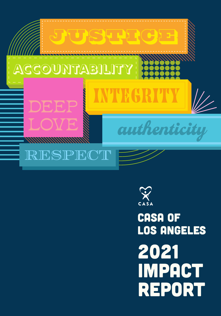



# **CASA OF LOS ANGELES** 2021 **IMPACT REPORT**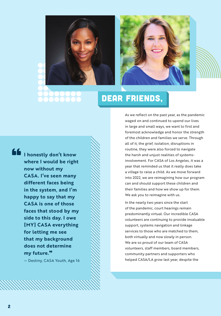



# dear friends,

"

**I honestly don't know where I would be right now without my CASA. I've seen many different faces being in the system, and I'm happy to say that my CASA is one of those faces that stood by my side to this day. I owe [MY] CASA everything for letting me see that my background does not determine my future.**"

— Destiny, CASA Youth, Age 16

As we reflect on the past year, as the pandemic waged on and continued to upend our lives in large and small ways, we want to first and foremost acknowledge and honor the strength of the children and families we serve. Through all of it, the grief, isolation, disruptions in routine, they were also forced to navigate the harsh and unjust realities of systemsinvolvement. For CASA of Los Angeles, it was a year that reminded us that it really does take a village to raise a child. As we move forward into 2022, we are reimagining how our program can and should support these children and their families and how we show up for them. We ask you to reimagine with us.

In the nearly two years since the start of the pandemic, court hearings remain predominantly virtual. Our incredible CASA volunteers are continuing to provide invaluable support, systems navigation and linkage services to those who are matched to them, both virtually and now slowly in person. We are so proud of our team of CASA volunteers, staff members, board members, community partners and supporters who helped CASA/LA grow last year, despite the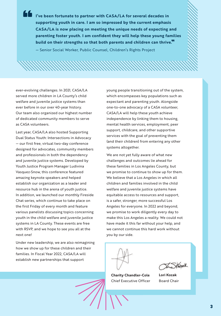**I've been fortunate to partner with CASA/LA for several decades in supporting youth in care. I am so impressed by the current emphasis CASA/LA is now placing on meeting the unique needs of expecting and parenting foster youth. I am confident they will help these young families build on their strengths so that both parents and children can thrive.**" — Senior Social Worker, Public Counsel, Children's Rights Project

ever-evolving challenges. In 2021, CASA/LA served more children in LA County's child welfare and juvenile justice systems than ever before in our over 40-year history. Our team also organized our highest number of dedicated community members to serve as CASA volunteers.

"

Last year, CASA/LA also hosted Supporting Dual Status Youth: Intersections in Advocacy — our first free, virtual two-day conference designed for advocates, community members and professionals in both the dependency and juvenile justice systems. Developed by Youth Justice Program Manager Ludivina Vasquez-Snow, this conference featured amazing keynote speakers and helped establish our organization as a leader and resource hub in the arena of youth justice. In addition, we launched our monthly Fireside Chat series, which continue to take place on the first Friday of every month and feature various panelists discussing topics concerning youth in the child welfare and juvenile justice systems in LA County. These events are free with RSVP, and we hope to see you all at the next one!

Under new leadership, we are also reimagining how we show up for these children and their families. In Fiscal Year 2022, CASA/LA will establish new partnerships that support

young people transitioning out of the system, which encompasses key populations such as expectant and parenting youth. Alongside one-to-one advocacy of a CASA volunteer, CASA/LA will help these youth achieve independence by linking them to housing, mental health services, employment, peer support, childcare, and other supportive services with the goal of preventing them (and their children) from entering any other systems altogether.

We are not yet fully aware of what new challenges and outcomes lie ahead for these families in Los Angeles County, but we promise to continue to show up for them. We believe that a Los Angeles in which all children and families involved in the child welfare and juvenile justice systems have equitable access to resources and support, is a safer, stronger, more successful Los Angeles for everyone. In 2022 and beyond, we promise to work diligently every day to make this Los Angeles a reality. We could not have made it this far without your help, and we cannot continue this hard work without you by our side.



**Charity Chandler-Cole** Chief Executive Officer

Jonk

**Lori Kozak** Board Chair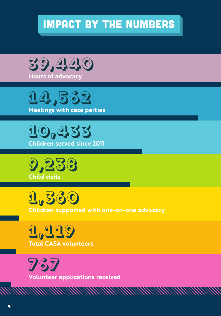## impact by the numbers











**1,119 Total CASA volunteers**

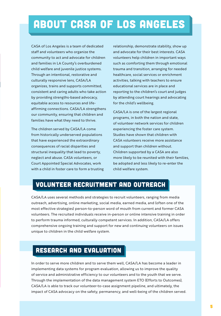## about casa of los angeles

CASA of Los Angeles is a team of dedicated staff and volunteers who organize the community to act and advocate for children and families in LA County's overburdened child welfare and juvenile justice systems. Through an intentional, restorative and culturally responsive lens, CASA/LA organizes, trains and supports committed, consistent and caring adults who take action by providing strengths-based advocacy, equitable access to resources and lifeaffirming connections. CASA/LA strengthens our community, ensuring that children and families have what they need to thrive.

The children served by CASA/LA come from historically underserved populations that have experienced the extraordinary consequences of racial disparities and structural inequality that lead to poverty, neglect and abuse. CASA volunteers, or Court Appointed Special Advocates, work with a child in foster care to form a trusting

relationship, demonstrate stability, show up and advocate for their best interests. CASA volunteers help children in important ways such as comforting them through emotional trauma and transition, arranging for needed healthcare, social services or enrichment activities, talking with teachers to ensure educational services are in place and reporting to the children's court and judges by attending court hearings and advocating for the child's wellbeing.

CASA/LA is one of the largest regional programs, in both the nation and state, of volunteer network services for children experiencing the foster care system. Studies have shown that children with CASA volunteers receive more assistance and support than children without. Children supported by a CASA are also more likely to be reunited with their families, be adopted and less likely to re-enter the child welfare system.

### Volunteer Recruitment and Outreach

CASA/LA uses several methods and strategies to recruit volunteers, ranging from media outreach, advertising, online marketing, social media, earned media, and (often one of the most effective strategies) person-to-person word of mouth from current and former CASA volunteers. The recruited individuals receive in-person or online intensive training in order to perform trauma informed, culturally competent services. In addition, CASA/LA offers comprehensive ongoing training and support for new and continuing volunteers on issues unique to children in the child welfare system.

## Research and Evaluation

In order to serve more children and to serve them well, CASA/LA has become a leader in implementing data systems for program evaluation, allowing us to improve the quality of service and administrative efficiency to our volunteers and to the youth that we serve. Through the implementation of the data management system ETO (Efforts to Outcomes), CASA/LA is able to track our volunteer-to-case assignment pipeline, and ultimately, the impact of CASA advocacy on the safety, permanency, and well-being of the children served.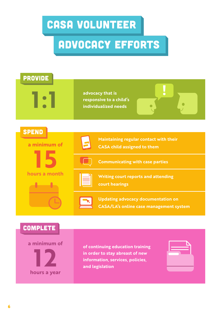## CASA volunteer

# advocacy efforts

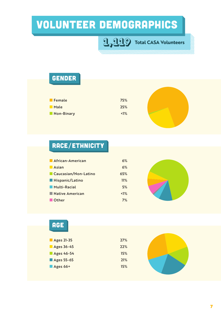# volunteer demographics

**1,119 Total CASA Volunteers**

| <b>GENDER</b> |       |  |
|---------------|-------|--|
|               |       |  |
|               |       |  |
| <b>Female</b> | 75%   |  |
| <b>Male</b>   | 25%   |  |
| Non-Binary    | $1\%$ |  |
|               |       |  |

## race/ethnicity

| African-American     | 6%           |  |
|----------------------|--------------|--|
| <b>Asian</b>         | 6%           |  |
| Caucasian/Non-Latino | 65%          |  |
| Hispanic/Latino      | 11%          |  |
| Multi-Racial         | 5%           |  |
| Native American      | $\langle$ 1% |  |
| <b>■ Other</b>       | 7%           |  |

| <b>AGE</b>              |     |  |
|-------------------------|-----|--|
|                         |     |  |
|                         | 27% |  |
| Ages 21-35              |     |  |
| Ages 36-45              | 22% |  |
| Ages 46-54              | 15% |  |
| Ages 55-65              | 21% |  |
| $\blacksquare$ Ages 66+ | 15% |  |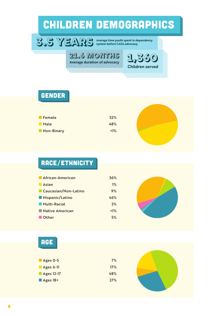# children demographics





### gender

| <b>Female</b>   | 52%          |
|-----------------|--------------|
| Male            | 48%          |
| Non-Binary<br>г | $\langle$ 1% |



## race/ethnicity

| African-American       | 36%          |  |
|------------------------|--------------|--|
| $\blacksquare$ Asian   | 1%           |  |
| Caucasian/Non-Latino   | 9%           |  |
| <b>Hispanic/Latino</b> | 46%          |  |
| Multi-Racial           | 2%           |  |
| Native American        | $\langle$ 1% |  |
| Other                  | 5%           |  |

| × |                                                                                                                                 |
|---|---------------------------------------------------------------------------------------------------------------------------------|
|   |                                                                                                                                 |
|   | $\mathcal{L}^{\text{max}}_{\text{max}}$ and $\mathcal{L}^{\text{max}}_{\text{max}}$ and $\mathcal{L}^{\text{max}}_{\text{max}}$ |

| 7%  |
|-----|
| 17% |
| 48% |
| 27% |
|     |

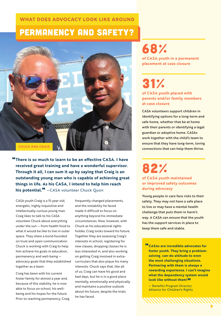### **WHAT DOES ADVOCACY LOOK LIKE AROUND**

## permanency and safety?



"**There is so much to learn to be an effective CASA. I have received great training and have a wonderful supervisor. Through it all, I can sum it up by saying that Craig is an outstanding young man who is capable of achieving great things in life. As his CASA, I intend to help him reach his potential.**" —CASA volunteer Chuck Quon

CASA youth Craig is a 15-year old, energetic, highly inquisitive and intellectually curious young man. Craig likes to talk to his CASA volunteer Chuck about everything under the sun — from health food to what it would be like to live in outer space. They share a bond founded on trust and open communication. Chuck is working with Craig to help him achieve his goals in education, permanency and well-being advocacy goals that they established together as a team.

Craig has been with his current foster family for almost a year and, because of this stability, he is now able to focus on school, his wellbeing and his hopes for the future. Prior to reaching permanency, Craig

frequently changed placements, and the instability he faced made it difficult to focus on anything beyond his immediate circumstances. Now, however, with Chuck as his educational rights holder, Craig looks toward his future. Together they are assessing Craig's interests in school, registering for new classes, dropping classes he is less interested in, and also working on getting Craig involved in extracurriculars that also pique his many interests. Chuck says that, like all of us, Craig can have his good and bad days, but he is in a good place mentally, emotionally and physically and maintains a positive outlook about his future, despite the trials he has faced.

## 68%

**of CASA youth in a permanent placement at case closure**

# 31%

**of CASA youth placed with parents and/or family members at case closure**

CASA volunteers support children in identifying options for a long-term and safe home, whether that be at home with their parents or identifying a legal guardian or adoptive home. CASAs work together with the child's team to ensure that they have long-term, loving connections that can help them thrive.

82%

**of CASA youth maintained or improved safety outcomes during advocacy**

Young people in care face risks to their safety. They may not have a safe place to live or may have a mental health challenge that puts them in harm's way. A CASA can ensure that the youth has the support services in place to keep them safe and stable.

**ELECTASAS are incredible advocates for foster youth. They bring a problemsolving, can-do attitude to even the most challenging situations. Partnering with them is always a rewarding experience. I can't imagine what the dependency system would look like without them!**"<br>- Benefits Program Director,

Alliance for Children's Rights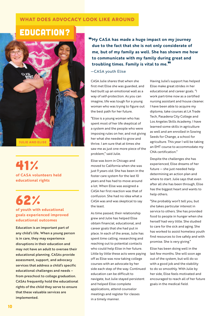### **WHAT DOES ADVOCACY LOOK LIKE AROUND**

## education?



41% **of CASA volunteers held educational rights**

# 62%

#### **of youth with educational goals experienced improved educational outcomes**

Education is an important part of any child's life. When a young person is in care, they may experience disruptions in their education and may not have an adult to oversee their educational planning. CASAs provide assessment, support, and advocacy services that address a child's specific educational challenges and needs – from preschool to college graduation. CASAs frequently hold the educational rights of the child they serve to ensure that these valuable services are implemented.

"**My CASA has made a huge impact on my journey due to the fact that she is not only considerate of me, but of my family as well. She has shown me how to communicate with my family during great and troubling times. Family is vital to me.**"

#### —CASA youth Elise

CASA Julie shares that when she first met Elise she was guarded, and had built up an emotional wall as a way of self-protection. As you can imagine, life was tough for a young woman who was trying to figure out the best path for her future.

"Elise is a young woman who has spent most of her life skeptical of a system and the people who were imposing rules on her, and not giving her what she needed to grow and thrive. I am sure that at times she saw me as just one more piece of the problem," said Julie.

Elise was born in Chicago and moved to California when she was just 9 years old. She has been in the foster care system for the last 10 years and has had to move around a lot. When Elise was assigned a CASA her first reaction was that of confusion. She had no idea what a CASA was and was skeptical to say the least.

As time passed, their relationship grew and Julie has helped Elise obtain financial, educational, and career goals that she had put in place. In each of the areas, Julie has spent time calling, researching and reaching out to potential contacts who could help Elise in her future. Little by little these acts were paying off as Elise was now taking college courses with an advocate by her side each step of the way. Continued education can be difficult to navigate, but Julie stayed persistent and helped Elise complete applications, attend counselor meetings and register for classes in a timely manner.

Having Julie's support has helped Elise make great strides in her educational and career goals. "I work part-time now as a certified nursing assistant and house cleaner. I have been able to acquire my diploma, take courses at LA Trade Tech, Pasadena City College and Los Angeles Skills Academy. I have learned some skills in agriculture as well and am enrolled in Sowing Seeds for Change, a school for agriculture. This year I will be taking an EMT course to accommodate my CNA certification."

Despite the challenges she has experienced, Elise dreams of her future — she just needed help determining an action plan and where to start. Julie says that even after all she has been through, Elise has the biggest heart and wants to help others.

"She probably won't tell you, but she takes particular interest in service to others. She has provided food to people in hunger when she herself had very little. She studied to care for the sick and aging. She has worked to assist homeless youth find resources to live safely and with promise. She is very giving."

Elise has been doing well in the last few months. She will soon age out of the system, but will do so with a good job and the stability to do so smoothly. With Julie by her side, Elise feels motivated and encouraged to reach all of her future goals in the medical field.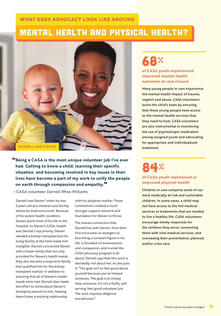### **WHAT DOES ADVOCACY LOOK LIKE AROUND**

## MENTAL HEALTH and PHYSICAL HEALTH?



"**Being a CASA is the most unique volunteer job I've ever had. Getting to know a child, learning their specific situation, and becoming involved in key issues in their lives have become a part of my work to unify the people on earth through compassion and empathy.**"

### —CASA volunteer Darnell Rhea Williams

Darnell met Steven\* when he was 3 years old at a medical care facility where he lived since birth. Because of his severe health condition, Steven spent most of his life in the hospital. As Steven's CASA, health was Darnell's top priority. Steven needed a kidney transplant but his living facility at the time made him ineligible. Darnell connected Steven with a foster family that not only provided for Steven's health needs, they also became a long-term family that qualified him for the kidney transplant waitlist. In addition to ensuring that all of Steven's health needs were met, Darnell also made the effort to reintroduce Steven's biological parents to him, helping them foster a working relationship

with his adoptive mother. These connections created a much stronger support network and foundation for Steven to thrive.

The shared connection that Darnell has with Steven, from their first encounter as strangers to becoming a constant figure in his life, is founded on benevolence and compassion, and is what the CASA advocacy program is all about. Darnell says that this work is decidedly not about her. As she puts it: "The goal isn't to feel good about yourself because you've helped someone. The goal is to simply help someone. It's not a fluffy, selfserving, feel-good volunteer job. The work requires diligence and altruism."

## 68%

**of CASA youth experienced improved mental health outcomes at case closure**

Many young people in care experience the mental health impact of trauma, neglect and abuse. CASA volunteers assist the child's team by ensuring that these young people have access to the mental health services that they need to heal. CASA volunteers are also instrumental in monitoring the use of psychotropic medication among assigned youth and advocating for appropriate and individualized treatment.

## 84%

#### **of CASA youth maintained or improved physical health**

Children in care comprise some of our most medically at-risk and vulnerable children. In some cases, a child may not have access to the full medical services or treatments that are needed to live a healthy life. CASA volunteers encourage timely responses for the children they serve, connecting them with vital medical services, and overseeing their preventative, planned, and/or crisis care.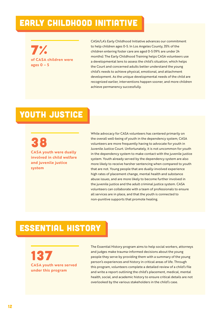## early childhood initiative

7% **of CASA children were ages 0 – 5**

CASA/LA's Early Childhood Initiative advances our commitment to help children ages 0-5. In Los Angeles County, 35% of the children entering foster care are aged 0-5 (19% are under 24 months). The Early Childhood Training helps CASA volunteers use a developmental lens to assess the child's situation, which helps the Court and concerned adults better understand the young child's needs to achieve physical, emotional, and attachment development. As the unique developmental needs of the child are recognized earlier, interventions happen sooner, and more children achieve permanency successfully.

## YOUTH JUSTICE

38

**CASA youth were dually involved in child welfare and juvenile justice system**

While advocacy for CASA volunteers has centered primarily on the overall well-being of youth in the dependency system, CASA volunteers are more frequently having to advocate for youth in Juvenile Justice Court. Unfortunately, it is not uncommon for youth in the dependency system to make contact with the juvenile justice system. Youth already served by the dependency system are also more likely to receive harsher sentencing when compared to youth that are not. Young people that are dually-involved experience high rates of placement change, mental health and substance abuse issues, and are more likely to become further involved in the juvenile justice and the adult criminal justice system. CASA volunteers can collaborate with a team of professionals to ensure all services are in place, and that the youth is connected to non-punitive supports that promote healing.

## essential history

137 **CASA youth were served under this program**

The Essential History program aims to help social workers, attorneys and judges make trauma-informed decisions about the young people they serve by providing them with a summary of the young person's experiences and history in critical areas of life. Through this program, volunteers complete a detailed review of a child's file and write a report outlining the child's placement, medical, mental health, social, and academic history to ensure critical details are not overlooked by the various stakeholders in the child's case.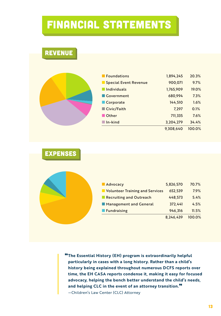## FINANCIAL STATEMENTS

| _<br>$\sim$<br>_____<br>_<br>____ | . . |  | . . |  | P.<br>. . | n ya<br>e v |  |
|-----------------------------------|-----|--|-----|--|-----------|-------------|--|
|-----------------------------------|-----|--|-----|--|-----------|-------------|--|

| <b>Foundations</b>           | 1,894,245 | 20.3%  |
|------------------------------|-----------|--------|
| <b>Special Event Revenue</b> | 900,071   | 9.7%   |
| $\blacksquare$ Individuals   | 1,765,909 | 19.0%  |
| <b>Government</b>            | 680,994   | 7.3%   |
| Corporate                    | 144,510   | 1.6%   |
| Civic/Faith                  | 7,297     | 0.1%   |
| Other                        | 711,335   | 7.6%   |
| $\blacksquare$ In-kind       | 3,204,279 | 34.4%  |
|                              | 9,308,640 | 100.0% |
|                              |           |        |

### expenses

| <b>Advocacy</b>                 | 5,826,570 | 70.7%  |
|---------------------------------|-----------|--------|
| Volunteer Training and Services | 652,539   | 7.9%   |
| Recruiting and Outreach         | 448,573   | 5.4%   |
| Management and General          | 372,441   | 4.5%   |
| <b>Fundraising</b>              | 946,316   | 11.5%  |
|                                 | 8,246,439 | 100.0% |

"**The Essential History (EH) program is extraordinarily helpful particularly in cases with a long history. Rather than a child's history being explained throughout numerous DCFS reports over time, the EH CASA reports condense it, making it easy for focused advocacy, helping the bench better understand the child's needs, and helping CLC in the event of an attorney transition.**" —Children's Law Center (CLC) Attorney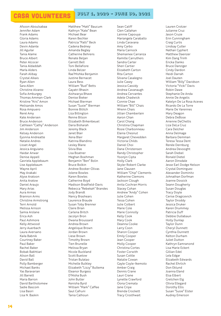#### **July 1, 2020 - June 30, 2021** casa volunteers

Afsoon Aboulsabaa Jennifer Adam Frank Adams Gloria Adams Laura Adams Devin Adante Jill Aguilar Tania Alame Bruce Albert Peter Alcocer Tania Aldaddah Marla Alders Farah Alibay Crystal Alkais Ryan Allen Sara Allen Christine Alvarez Sofia Amburgey Thomas Amman-Clark Kristine "Kris" Amon Melisande Amos Rosa Ampuero René Amy Kate Andersen Bruce Anderson Cathleen "Cathy" Anderson Jim Anderson Kelsey Anderson Eyonna Andreatte Natalie Andres Lisset Angel Jessica Anguiano Haidar Anwar Denise Appell Gavriela Applebaum Lise Applebaum Wayne April May Arakaki Alyse Aratoon Anita Aratow Daniel Araujo Mary Arias Aura Armas Brannon Arms Christine Armstrong Terri Arnold Melissa Arnson Samia Arslane Erica Ash Paul Ashmore Kelly Attwood Jerry Auerbach Laura Aversano Kaila Babnik Courtney Baker Paul Baker Rachel Baker Bobak Bakhtiari Alison Ball David Ball Polly Bamberger Michael Banks Yas Baravarian Jill Barrett Maria Barron David Bartholomew Sadie Bascom Lisa Basiri Lisa N. Baskin

Matthew "Matt" Baucum Kathryn "Kate" Bean Michael Bear Karen Bechler Patricia "Patti" Beck Cadena Bedney Amanda Begley Catherine Behrens Renate Beljan Garrett Bell Toni Bellafiore Linda Belzer Rae'Mishka Benjamin Justine Bernacet Laura Bess William "Bud" Betts Gayatri Bhasin Aishwarya Bhave Denise Bieker Michael Bierman Susan "Susie"' Bierman Bonnie Bilitch Liza Billington Renne Bilson Elizabeth Birkenbeuel Daria Bisharah Jeremy Black Janet Blair Xena Blair Katrina Blandino Lesley Blane Silvia Blas Lisa Boatner Meghan Boehman Benjamin "Ben" Bolin Bruce Bolkin Andree Booker-Olivas Jolene Bowles Karen Bowles Catherine Boyd Madison Bradfield-Davis Rebecca "Rebekah" Brandes Jody Brandt Nancy Brashears Laurence Braude Susan Toby Brenner Claire Brian Carlena Britch Jacolyn Bron Dwana Broussard Andrea Brown Angelique Brown Jordan Brown Liese Brown Timothy Brown Tien Brunelle Melissa Bryan Nicole Buckland Scott Buetow Tristan Bulatao Michelle Bulkley Elizabeth "Lizzy" Bultema Eleanor Burgess D'Nisha Bush John Butler Kenisha Byrd William "Mark" Caffee Saul Cafruni Tania Calhoun

Sean Califf Glen Callahan Lainnie Capouya Mariangela Caraballo Linda Caravana Amy Carbo Maria Carnock Shemainee Carranza Kamille Carruthers Sandra Carter Sheri Cartier Elizabeth Carton Rita Carton Silvana Casalegno Julie Casey Jessica Cassidy Andrea Cavanaugh Andrea Cervantes Adele Chadwick Connie Chae William "Bill" Chais Wrenn Chais Jillian Chamberlain Aaron Chan Carol Chang Christina Chapman Rosie Charbonneau Elaina Chesnut Margaret Chevedden Victoria Childs Daniel Choi Dana Christensen Randy Christopher Yoonjin Cipta Holly Clark Skyler Robert Clarke Jane Clausen William "Chip" Clements Katherine Clemons Jackson Clough Anita Cochran Morris Stacey Cohan Andrew "Andy" Cohen Julie Cohen Tessa Cohen Julie Colbert Marie Cole Marie Connolly Kelly Cook Mary Cook Deanna Cooke Larry Coon Sharon Cooper Emily Cooper Jean Cooper Molly Cooper Christina Cortes Foster Corwith Susan Cottle Natalie Cowan Gayle Coyle-Ikemoto Amber Craig Dennis Crane Lauri Crane Lynette Crawford Oona Cremata Jane Cripe Brenda Crockett Tracy Crosthwait

Lauren Crotzer Julianne Cruz Jason Cruze Erin Cunningham Craig Curtis Lindsay Cutler Nathan Cyphert Matthew Daenzer Kim Dang Trinh Ericka Danko Bruce Danziger Cindy Dardon Heidi Darrah Joel Dauten William "Billy" Davidson Victoria "Vicki" Davis Robin Dawe Stephanie De Anda Annie De Angelis Katelyn De La Rosa Aceves Ricardo De La Torre Marie De Varennes Mary Deagon Debra DeBose Arienne DeChellis Liza DeLa Cruz Cara Delcher Anna Delmage Barbara Demman Teresa Tessa Dent Renée Dernburg Andrea Devooght Sarah Diebel Ronald Dietel Aaron Dinsdale Jesse Earl Dodge Nelson Crystal Dominguez Alexander Dominitz Johnathan Dorfman Joanne Dossick Seann Dougherty Susan Douglas Tracy Doyle Cerise Dragicevich Taylor Droddy Jessica Druker Karen Drummey Patricia Duff Debbie Dullabaun Holly Dunlap Taylor Dunn Cheryl Dunnett Cynthia Dunnett Kelton Durham Juliet Dutton Kathryn Eamranond Lisa Marie Eckert Gillian Edel Lela Edgar Elizabeth Edwards Rachel Ehrlich Don Eklund Joanna Eland Elsa Elbert Gretchen Elg Olivia Ellegard Dorothy Ellis Susan "Susie" Elster Audrey Emerson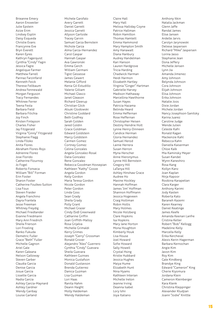Brieanne Emery Aaron Ensweiler Julie Epstein Azize Erim Lindsey Esplin Daisy Esqueda Christie Evans Francynne Eve Bryn Everett Karen Eyres Kathryn Fagerquist Cynthia "Cindy" Fagin Jessica Fagre Angelique Farmer Matthew Farrell Parinaz Farzinfarid Kenneth Feick Therese Fellbaum Andrea Fennewald Morgan Ferguson Tracy Fernandes Whitnee Ferrer Teena Festa Barbara Field Barbara Filichia Joy Finch Kirsten Finlayson Charles Fisher Jay Fitzgerald Virginia "Ginny" Fitzgerald Stephanie Flagg Linda Flloko Anita Flores Abraham Flores-Rojo Adrienne Florez Jose Florido Catherine Flournoy Jo Fogel Roberto Fonseca William "Bill" Forman Erin Foster Sharon Foster Catherine Foulkes-Sutton Lisa Foux Steven Fraider Angela Franchino Dayra Frantela Jesse Freeman Whitney Freydig Michael Friedlander Evanne Friedmann Mary Ann Friedrich Sheila Frierson Lori Froeling Ranko Fukuda Demetric Fuller Grace "Beth" Fuller Michelle Gagnon Ariel Gale Karen Galeana Nelson Galloway Steven Garber Claudia Garcia Denise Garcia Josue Garcia Lissette Garcia Nadia Garcia Ashley Garcia-Maynard Ashley Gardner Wendy Garibay Louise Garland

Michele Garofalo Avery Garrett Daniel Garrett Jessica Garrett Allyson Gartside Tracey Garvin Samuel Garza Bernstein Nichole Garza Alma Garza-Hernandez Carol Gaspar Hannah Gaspar Ava Gawronski Emma Gerch William Germani Tigist Gessesse James Gewert Melanie Gifford Kenia Gil-Estudillo Valerie Gilliam Michael Glasco Janet Gleason Richard Gleerup Christian Glick Atsuki Glodowski Christine Goddard Beth Godfrey Sarah Golden Jared Goldin Grace Goldman Edward Goldstein Marcy Goldstein Carmen Gomez Cortney Gomez Celina Gonzales Angela Gonzalez-Rosal Dalia Gonzalez Rene Gonzalez Rebecca Goodman Hovsepian Kathleen "Kathy" Gooze Angela Gordon Kelly Gordon Maria Teresa Gordon Nicole Gordon Peter Gordon Linda Goss Sean Grady Sheila Grady Polly Grant Michael Grazer Cindy (Sid) Greenwald Catharine Griffin Joan Griffith-Malloy Rosa Grijalva Michelle Grimaldi Kerry Grimes Joseph "Gerry" Grossman Ronald Grover Alejandro "Alex" Guerrero Cynthia "Cindy" Guevara Sheila Guevara Kathleen Guinses Monica Gustafson Donald Gustavson Brenda Gutierrez Danica Guzman Lisa Guzman Lori Haas Ranita Hahm Deann Haight Molly Haldeman Wendy Haldeman

Claire Hall Mary Hall Melissa Halliday Coyne Patrice Hallman Robin Hamilton Thomas Hamlett Emma Hammond Mary Hampton Smith Amy Hanawalt Diana Hanbury Audrey Handelman Kari Hanson Lauren Hardgrove Tricia Harding Chadwick Harman Heidi Harmon Elizabeth Hartley Virginia "Ginger" Hartman Gabrielle Harvey Madison Hathaway Marcellina Hawthorne Susan Hayes Patricia Hazama Belinda Heard Emma Heffernan Rose Heffernan Christopher Heisen Destiny Hendrie Holt Lynne Henry-Dinneen Candice Herman Gloria Hernandez Samuel Herod Lainie Herrera Susan Herron Myna Herscher Anne Hieronymus Lynne Hill Bernstein Gregory Hill LaTanya Hill Ashley Hinshaw Grace Audree Ho Maxine Hockley Hannah Hoffman James 'Jim' Hoffman Shannon Hoffmann Jessica Hogeveen Craig Holliman Robin Hollis Mary Holmes Nicole Holzberg Clare Hopkins Isa Hopkins Mary Jane Horton Mona Houghton Kimberly Houk Lisa House Joel Howard Sofie Howard Sally Howell Crystal Hsing Kristie Hubbard Jessica Hughes Maiya Hume Elizabeth Hunt Nina Hyams Kathleen Interian Michelle Ireton Jeanne Irving Deanna Isabel Lory Ishii Joya Italiano

Anthony Itkin Natalia Jackman Glenn Jaffe Randal James Elise Jansen Ardelle Jarvis Carolyn Jarynowski Deliese Jaspersen Richard "Mike" Jaspersen Lorina Jasso Stephanie Jean Dona Jeffery Michelle Jensen Lynn Jia Amanda Jimenez Amy Johnson Belynda Johnson Cora Johnson Elijah Johnson Elisa Johnson Erika Johnson Natalie Joos Dixie Jordan Michele Jordan Nancy Josephson-Sanitsky Karina Juarez Caroline Judge Wende Julien Celeste Kafri Ronald Kagan Mackenzie Kahl Rebecca Kahn Daniella Kaiserman Chloe Kalk Mia Kaminsky Meyer Susan Kandel Wynn Kaneshiro Rosa Kang Kollyn Kanz Joan Kaplan Nirja Kapoor Roobina Karapetian Clara Karger Anthony Karimi Jody Kasten Roberta Kato Baraneh Kazemi Karen Kearney Daniel Keatinge James Keefe Amanda Keenan Lanfre Cristina Keller Robert "Bob" Kellogg Madeline Kelly Marcella Kelly Erika Kercheval Alexis Kerin-Hagerman Barbara Kernochan Angie Kim Javon Kim Roy Kim Gale Kindberg Brandye King Edward "Cameron" King Cherie Kiyomura Jordana Klein Cameron Kleinberger Kara Klenk Christina Kleppinger Alexander Kludjian Joann "Jodie" Knittle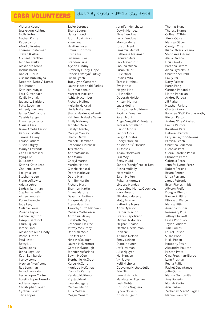#### **July 1, 2020 - June 30, 2021** casa volunteers

Victoria Koegel Jessie-Ann Kohlman Molly Kohrs Nathan Kohrs Rebecca Kon Afroditi Kontos Therese Kosterman Steven Kostka Michael Kranther Jennifer Kriske Alexandra Kronz Joshua Kronz Daniel Kubrin Oksana Kubushyna Deborah "Debby" Kumar Ritu Kumar Kathleen Kunysz Lora Kurtenbach Kaylie Kvoriak Juliana LaBarbiera Patsy Lachman Aimeelynne Lake James "Jim" Landreth Cassidy Lange Franchesca Lantz Marissa Lara Jayne Amelia Larson Kendra LaSalle Samuel Laskey Louise Latham Susan Latigay Marilyn Lawenda Carla Lazzareschi Mynga Le Jill Leanse Katrina Katie Leap Charlene Leavell Lai Lydia Lee Stephanie Lee Frann Lefkowitz Ariella Lehrer Lindsay Lehrman Stephanie Leifer Aimee Lencsak RolandLeoncio Julie Levy Melanie Lewis Viviana Leyva Joanne Lightfoot Joseph Lightfoot Laura Liguori Jamee Lind Alexandra Allie Lindly Rachel Linton Paul Lister Betty Liu Kylee Loebs Jenna Logoluso Kathi Lombardo Nancy Lomen Meghan "Meg" Long Roy Longman Jerrod Longoria Leslie Lopez Cortez Loretta Lopez Herndon Adriana Lopez Christopher Lopez Cynthia Lopez Silvia Lopez

Tayler Lorence Shana Lourey Nancy Lovett Judith Lovingfoss Yifen Low Heather Lucas Emma Ludbrook Elvina Lui Suzanne Luke Brandon Luna Alyson Lundby Kimberly Lundy-Liope Roberta "Robyn" Lutsky Susan Lynch Tracy Lynn Cambron Laurie Macdonald Parkes Julie Macdonald Margaret MacLean AshleyMacomber Richard Mailman Melanie Makaiwi Linda Makarians SharonMakimoto-Landin Kathleen Malaske Samu Emily Maloney Jennifer Malsch Katelyn Manley Marilyn Manley **SharonMarch** Michele Marchand Katherine Marcheski Teri Marias AndreaMariash Ana Marin Cheryl Marino Martha Marion Gissele Mariscal Debra Markovic Debra Martin Jennifer Martin Richard Martin Shannon Martin Briana Martinez Dayanna Martinez Enrique Martinez Alena Maschke Timothy "Tim" Mathews Melissa Mathewson Antonina Maxey Elizabeth May Catherine McAfee Jeffrey McBurney Deborah McCall Erin McCann Nina McCullaugh Lauren McDermott Gerda McDonough Jennifer McFarland Edwin McGee Stephanie McGrath Keree McGuire Monique McKellop Marcy McKenzie Kendall McKinnon Krystal Mead Lara Mellegers Michael Melon Julia Meltzer Megan Menard

Jennifer Menchaca Dayrin Mendez Elsie Mendoza Lucy Mendoza Monica Menez Joseph Menkin Jamarcia Merritt Catherine Messman Jennifer Metz Jack Meyerhoff Paolina Milana Susan Miller Julie Mintz Jessica Mita Teresa Mitchell Eva Mitnick Maggie Moe Jill Moeller Deborah Moisio Kristen Molina Lucia Molina Christopher Molldrem Patricia Monahan Sarah Moniz Angel "Angelita" Montanez Teresa Montellano Carson Moore Sandra Mora Sergio Morales Cheryl Morelan Kristin "Kris" Morrish Ali Moses Adam Moskowitz Erin Moy Betsy Mudd Sandra "Sandy" Mukai-Kim Alisha Mullally Matt Mullen Sarah Mullen Rubaina Mumtaz Lindsey Munday Jacqueline Munoz Geoghegan Kara Murano Elizabeth Murphy Molly Murray Katherine Myers Abby Myerson Herbert Nacion Evelyn Napolitano Michael Natalizio Meghan Nealon Martha Needelman John Neill Arianna Nelson Emily Nelson Diane Neuner Jeff Newman Julie Nguyen Mai Nguyen Vy Nguyen Kelli Nicholas Geovanna Nichols-Julien Erin Ninh Jane Nishimoto Magdalene Nitschke Leah Noble Christina Noguera Lynda Noiseux Kristin Nugent

Thomas Nunan Theresa Nunez Colleen O'Brien Alexis Olbrei Marissa Oliver Carolyn Olsen Iliana Olvera Lozano Stephanie O'Neal Alicia Orozco Licia Owolo Breanna Oxford Aisha Oyarekhua Christopher Pahl Emily Pai Daisy Palafox Karen Pang Carmen Paparella Martin Papazian Andrea Parada Jill Parker Heather Parlato Charles Parra Rajasree "Raji" Parthasarathy Kirsten Parton Andrea "Drea" Paskal Emma Pastore Karishma Patel Deborah Patrick Laryssa Payton-Stevens Patricia Peach Christina Pederson Nicholas Peet Gloria Carolina Pepin Elizabeth Perez Gabriela Perez Jennifer Lynne Perez Robert Perkins Bruno Pernet Linda Perryman James Petronie Brian Pfanschmidt Allyson Pfeifer Douglas Phelps Kaelyn Phillips Elizabeth Pierce Melissa Pitts Amanda Plisner Rosemary Plue Jeffrey Plunkett Leslie Podolsky Taylor Polidore Julie Polkes Laurel Polson Susan Poon Nikki Poosti Kimberly Posin Alexandra Poulton Kristen Pratt Gina Pressman-Elardo Lynn Prushan Reyna Pulliam Rachel Quaintance Julie Quinn Marina Quintanilla Amy Rabwin Moriah Radin Ann Radow Zachariah "Zach" Ragatz Manuel Ramirez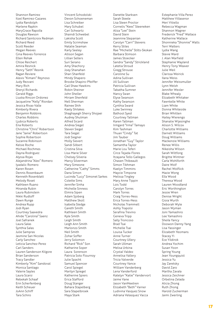Shannon Ramirez Itzel Ramirez-Cazares Lydia Randolph Marlene Rapkin MaryGrace Rapolla Douglas Rawson Richard Saintcroix Redman Richard Reed Scott Reeder Megan Reeves Gina Reeves-Torrence Ellen Rehak Chloe Reichert Amira Resnick Henry "Seth" Resnik Ragan Reviere Alexis "Kimani" Reynoso Judy Rezvani Mary Rich Sheryl Richards Gerald Riggs Liuska Rincon Ordonez Jacqueline "Kelly" Riordan Jessica Rivas-Valle Kimberly Rivera Benjamin Robbins Charles Robbins Ljubica Roberts Ena Roberts Christine "Chris" Robertson Jane "Janie" Robertson Sophie Robertson Suzanne Robinson Kelsie Roche Michael Rochmes Dayna Rodriguez Alyssa Rojas Alejandrina "Alex" Romero Iyadalic Romero Karen Rosen Dennis Rosenbaum Kenneth Rosenblatt Melody Roset Kathleen Ruano Miranda Rubin Laura Rubinstein Nikki Rudloff Dawn Runge Andrea Rupp Jodi Ryan Courtney Saavedra Ahide "Carolina" Saenz Joel Safranek Laura Salas Synthia Salas Julie Sampras Jasmine San Nicolas Carly Sanchez Leticia Sanchez-Perez Carl Sanders Lauren Sanderson Kilgore Brian Sanderson Tracy Sandler Kimberly "Kim" Sandoval Monica Santiago Valerie Sayles Laura Scarsi Rebekah Schaaf Erin Scherfenberg Keith Scheuer JoAnn Schiff Tara Schiro

Vincent Schodolski Devon Schoeneman Lisa Schreiber Mary Schubel Cari Schwartz Shaindi Schwebel Lakisha Scott Emily Scrimshaw Natalie Seaman Karly Seeley Allison Segan Lillian Sellers Suri Serano Amy Shachory Joey Shanahan Shari Shanfeld Mindy Shapero Brooke Shapiro-Pfeiffer Gail Shaw Hawkins Robin Sheiner John Sheller Miriam Shenfeld Nell Sherman Rainee Shih Kaely Shilakes Shaghayegh Sherry Shojaei Audrey Shulman Alfred Sicard Andrea Siegel Steven Siegel Tara Siegel Jodi Siegner Molly Sievert Sandi Silbert Cristina Silva Lisa-Marie Silver Chelsey Silveria Marcy Silverman Mary Simeone Catherine "Cathy" Simms Dana Simon Lucinda "Lucy" Simonet Sarkes Colette Sims Jennifer Sinha Michelle Sinness Elmira Sipen Adam Sjoberg Matthew Skoll Isabella Sledge Gareth Smith Kathleen Smith Kyle Smith Leigh Smith Leigh Ann Smith Marlonzo Smith Neil Smith Zohar Soffer Jerry Solomon Richard "Rick" Son Katharine Soper Laura Sorenson Patricia Soto Flournoy Julie Spacht Samuel Spencer Carol Spiegel Marilyn Spiegel Katherine Spiers Erica Stafford Doug Stanger Bahara Stapelberg Sara Stapelbroek Maya Stark

Danette Starksen Sarah Steele Lisa Steen Proctor Cornelis "Kees" Steeneken Aliza "Lee" Stein David Stein Jeannine Stepanian Carolyn "Carri" Stevens Kerry Stiles Rae "Michelle" Stilts-Skokan Barbara Stimson James Stoecker Sandra "Sandy" Strickland Latetia Stroud Gregg Strouse Caroline Su Adina Sullivan Jill Sullivan Patricia Sullivan Tabatha Sumner Nancy Swan Elyse Swanson Kathy Swanson Cynthia Sward Luke Swinney Bathool Syed Courtney Tallman Karen Tallman Irmgard "Irma" Tamayo Kim Tashman Thuan "Cindy" Tat Jim Tauber Jonathan "Guy" Taylor Samantha Taylor Marie Lou Teferi Circe Tejada-Flores Itzayana Tello Gallegos Chasen Thibeault Simon Tikhman Kaelyn Timmins Maycie Timpone Melissa Tingley Mary Anne Tippin Lois Todd Carolyn Torres Mark Torres Craig Torres-Ness Erica Torres-Ness Nicholas Trammell Ashly Trapolsi Serafina Trevino Geneva Tripp Sally Troncoso Brad Tsai Michelle Tsai Louisa Tucker Anne Turner Courtney Ullery Sarah Ullman Melisa Urbina Crystal Valdez Annelisa Vallery Tricia Valverde Courtney Vance William Vanderberg Lena Vanderford Katelyn "Katie" Vandervort Jaime Vane Jason VanMeetren Elizabeth "Beth" Varner Ludivina Vasquez Snow

Adriana Velasquez Vacca

Estephanie Villa Perez Matthew Villasenor Meri Vitiello Rebecca Wagman Shannon Wagner Frederick "Fred" Wallace Katherine Wallace Shonnieka "Shonnie" Walls Terri Walters Lydia Wang Stevie Ward J. Alan Warfield Stephanie Wayland Henry Tony Weaver Julie Weil Clarissa Weirick Ilana Weiss Jennifer Weissmuller Lynn Welsh Jennifer Wexler Blake Whealy Elizabeth Whitaker Fawntelle White Liam White Donna Whiteside Brian Whitten Hailey Wierengo Shanalie Wijesinghe Alison S. Wilcox Charlotte Williams Darnell Williams Doug Williams Mackenzie Williams Renee Willis Nikeisha Wilson Sarah Wiltfong Brigitte Wintner Carla Wohlforth Daire Wolf Rachel Wolflick Mazie Wong Ella Wood Theresa Wood Lauren Woodland Eric Worthington Jessie Wren Denise Wright Gioia Wurth Deborah Wyle Jason Wyman Joni Yamashiro Lee Yamashiro Sheila Yancy Doowon Danny Yang Lisa Yassinger Elizabeth Yeomans Stacey Yi Ece Yildirok Andrea Yochim Susan Yoon Spring Young Jean Youngquist Jessica Yu Jay Zaretsky David Zaro Martha Zavala Jessica Zeichner Orbelina Zelada Alicia Zhong Ruth Zhong Harold Zuckerman Jaimi Zwerling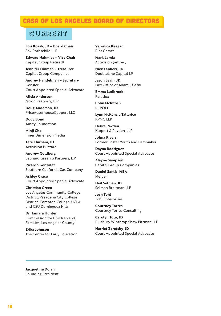### **CASA OF LOS ANGELES BOARD OF DIRECTOR**

### **current**

**Lori Kozak, JD – Board Chair** Fox Rothschild LLP

**Edward Nahmias – Vice Chair** Capital Group (retired)

**Jennifer Hinman – Treasurer** Capital Group Companies

**Audrey Handelman – Secretary** Gensler Court Appointed Special Advocate

**Alicia Anderson** Nixon Peabody, LLP

**Doug Anderson, JD** PricewaterhouseCoopers LLC

**Doug Bond** Amity Foundation

**Minji Cho** Inner Dimension Media

**Terri Durham, JD** Activision Blizzard

**Andrew Goldberg** Leonard Green & Partners, L.P.

**Ricardo Gonzalez** Southern California Gas Company

**Ashley Grace** Court Appointed Special Advocate

**Christian Green** Los Angeles Community College District, Pasadena City College District, Compton College, UCLA and CSU Dominguez Hills

**Dr. Tamara Hunter** Commission for Children and Families, Los Angeles County

**Erika Johnson** The Center for Early Education **Veronica Keegan** Riot Games

**Mark Lamia** Activision (retired)

**Nick Lebherz, JD** DoubleLine Capital LP

**Jason Levin, JD** Law Office of Adam I. Gafni

**Emma Ludbrook** Paradox

**Colin McIntosh** REVOLT

**Lynn McKenzie Tallerico** KPMG LLP

**Debra Ravden** Klopert & Ravden, LLP

**Johna Rivers** Former Foster Youth and Filmmaker

**Dayna Rodriguez** Court Appointed Special Advocate

**Alayné Sampson** Capital Group Companies

**Daniel Sarkis, MBA** Mercer

**Neil Selman, JD** Selman Breitman LLP

**Josh Tohl** Tohl Enterprises

**Courtney Torres** Courtney Torres Consulting

**Carolyn Toto, JD** Pillsbury Winthrop Shaw Pittman LLP

**Harriet Zaretsky, JD**  Court Appointed Special Advocate

**Jacqueline Dolan** Founding President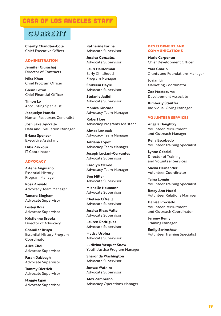### casa of los angeles staff

### **current**

**Charity Chandler-Cole** Chief Executive Officer

#### ADMINISTRATION

**Jennifer Gjurashaj** Director of Contracts

**Mika Khan** Chief Program Officer

**Glenn Lezon** Chief Financial Officer

**Timon Lo** Accounting Specialist

**Jacquelyn Mancia** Human Resources Generalist

**Josh Saxelby-Valle** Data and Evaluation Manager

**Briana Spencer** Executive Assistant

**Hiba Zakkour** IT Coordinator

#### ADVOCACY

**Arlene Anguiano** Essential History Program Manager

**Rosa Arevalo** Advocacy Team Manager

**Tamara Bingham** Advocate Supervisor

**Lesley Bois** Advocate Supervisor

**Kristienne Brooks** Director of Advocacy

**Chandler Bruyn** Essential History Program Coordinator

**Alice Choi**  Advocate Supervisor

**Farah Dabbagh** Advocate Supervisor

**Tammy Dietrich** Advocate Supervisor

**Maggie Egan** Advocate Supervisor

**Katherine Farina** Advocate Supervisor

**Jessica Gonzalez** Advocate Supervisor

**Lauri Halderman** Early Childhood Program Manager

**Shikeem Hayle** Advocate Supervisor

**Stefanie Jadidi** Advocate Supervisor

**Monica Kincade** Advocacy Team Manager

**Robert Lee** Advocacy Programs Assistant

**Aimee Lencsak** Advocacy Team Manager

**Adriana Lopez** Advocacy Team Manager

**Joseph Luciani-Cervantes** Advocate Supervisor

**Carolyn McGee** Advocacy Team Manager

**Ben Miller** Advocate Supervisor

**Michelle Neumann** Advocate Supervisor

**Chelsea O'Neill** Advocate Supervisor

**Jessica Rivas Valle** Advocate Supervisor

**Lauren Rodriguez** Advocate Supervisor

**Melisa Urbina** Advocate Supervisor

**Ludivina Vasquez Snow** Youth Justice Program Manager

**Sharonda Washington** Advocate Supervisor

**Jontae Watkins** Advocate Supervisor

**Alex Zambrano** Advocacy Operations Manager

#### DEVELOPMENT AND COMMUNICATIONS

**Marie Carpenter** Chief Development Officer

**Yara Gharib** Grants and Foundations Manager

**Jovian Lin** Marketing Coordinator

**Zoe Moctezuma** Development Associate

**Kimberly Stauffer** Individual Giving Manager

#### VOLUNTEER SERVICES

**Angela Daughtry** Volunteer Recruitment and Outreach Manager

**Keila Escobedo** Volunteer Training Specialist

**Lynne Gabriel** Director of Training and Volunteer Services

**Sheila Hernandez** Volunteer Coordinator

**Taina Longin** Volunteer Training Specialist

**Betsy Ann Mudd** Volunteer Relations Manager

**Denise Preciado** Volunteer Recruitment and Outreach Coordinator

**Jeremy Remy** Training Manager

**Emily Scrimshaw** Volunteer Training Specialist